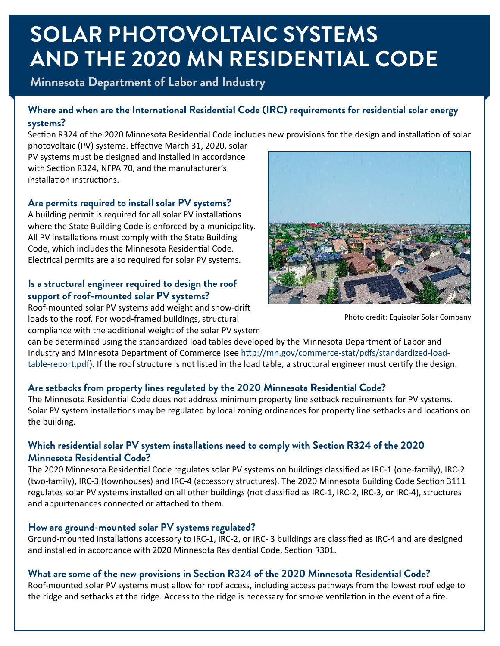# **SOLAR PHOTOVOLTAIC SYSTEMS AND THE 2020 MN RESIDENTIAL CODE**

**Minnesota Department of Labor and Industry**

## **Where and when are the International Residential Code (IRC) requirements for residential solar energy systems?**

Section R324 of the 2020 Minnesota Residential Code includes new provisions for the design and installation of solar

photovoltaic (PV) systems. Effective March 31, 2020, solar PV systems must be designed and installed in accordance with Section R324, NFPA 70, and the manufacturer's installation instructions.

## **Are permits required to install solar PV systems?**

A building permit is required for all solar PV installations where the State Building Code is enforced by a municipality. All PV installations must comply with the State Building Code, which includes the Minnesota Residential Code. Electrical permits are also required for solar PV systems.

## **Is a structural engineer required to design the roof support of roof-mounted solar PV systems?**

Roof-mounted solar PV systems add weight and snow-drift loads to the roof. For wood-framed buildings, structural compliance with the additional weight of the solar PV system



Photo credit: Equisolar Solar Company

can be determined using the standardized load tables developed by the Minnesota Department of Labor and Industry and Minnesota Department of Commerce (see [http://mn.gov/commerce-stat/pdfs/standardized-load](http://mn.gov/commerce-stat/pdfs/standardized-load-table-report.pdf)[table-report.pdf\)](http://mn.gov/commerce-stat/pdfs/standardized-load-table-report.pdf). If the roof structure is not listed in the load table, a structural engineer must certify the design.

## **Are setbacks from property lines regulated by the 2020 Minnesota Residential Code?**

The Minnesota Residential Code does not address minimum property line setback requirements for PV systems. Solar PV system installations may be regulated by local zoning ordinances for property line setbacks and locations on the building.

## **Which residential solar PV system installations need to comply with Section R324 of the 2020 Minnesota Residential Code?**

The 2020 Minnesota Residential Code regulates solar PV systems on buildings classified as IRC-1 (one-family), IRC-2 (two-family), IRC-3 (townhouses) and IRC-4 (accessory structures). The 2020 Minnesota Building Code Section 3111 regulates solar PV systems installed on all other buildings (not classified as IRC-1, IRC-2, IRC-3, or IRC-4), structures and appurtenances connected or attached to them.

## **How are ground-mounted solar PV systems regulated?**

Ground-mounted installations accessory to IRC-1, IRC-2, or IRC- 3 buildings are classified as IRC-4 and are designed and installed in accordance with 2020 Minnesota Residential Code, Section R301.

## **What are some of the new provisions in Section R324 of the 2020 Minnesota Residential Code?**

Roof-mounted solar PV systems must allow for roof access, including access pathways from the lowest roof edge to the ridge and setbacks at the ridge. Access to the ridge is necessary for smoke ventilation in the event of a fire.